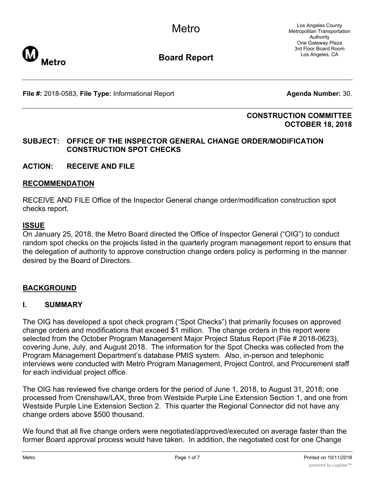**Metro** 

**Board Report**

**File #:** 2018-0583, File Type: Informational Report **Agents Agenda Number:** 30.

### **CONSTRUCTION COMMITTEE OCTOBER 18, 2018**

## **SUBJECT: OFFICE OF THE INSPECTOR GENERAL CHANGE ORDER/MODIFICATION CONSTRUCTION SPOT CHECKS**

**ACTION: RECEIVE AND FILE**

### **RECOMMENDATION**

RECEIVE AND FILE Office of the Inspector General change order/modification construction spot checks report.

### **ISSUE**

On January 25, 2018, the Metro Board directed the Office of Inspector General ("OIG") to conduct random spot checks on the projects listed in the quarterly program management report to ensure that the delegation of authority to approve construction change orders policy is performing in the manner desired by the Board of Directors.

### **BACKGROUND**

### **I. SUMMARY**

The OIG has developed a spot check program ("Spot Checks") that primarily focuses on approved change orders and modifications that exceed \$1 million. The change orders in this report were selected from the October Program Management Major Project Status Report (File # 2018-0623), covering June, July, and August 2018. The information for the Spot Checks was collected from the Program Management Department's database PMIS system. Also, in-person and telephonic interviews were conducted with Metro Program Management, Project Control, and Procurement staff for each individual project office.

The OIG has reviewed five change orders for the period of June 1, 2018, to August 31, 2018; one processed from Crenshaw/LAX, three from Westside Purple Line Extension Section 1, and one from Westside Purple Line Extension Section 2. This quarter the Regional Connector did not have any change orders above \$500 thousand.

We found that all five change orders were negotiated/approved/executed on average faster than the former Board approval process would have taken. In addition, the negotiated cost for one Change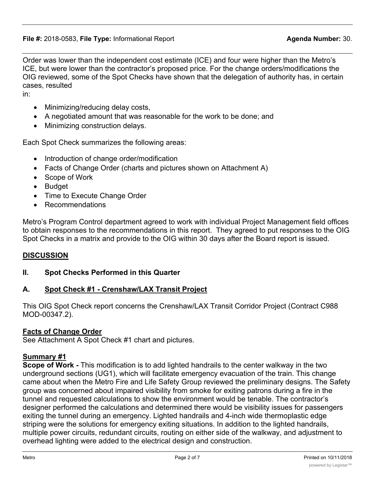Order was lower than the independent cost estimate (ICE) and four were higher than the Metro's ICE, but were lower than the contractor's proposed price. For the change orders/modifications the OIG reviewed, some of the Spot Checks have shown that the delegation of authority has, in certain cases, resulted

in:

- Minimizing/reducing delay costs,
- · A negotiated amount that was reasonable for the work to be done; and
- · Minimizing construction delays.

Each Spot Check summarizes the following areas:

- Introduction of change order/modification
- Facts of Change Order (charts and pictures shown on Attachment A)
- · Scope of Work
- · Budget
- · Time to Execute Change Order
- **Recommendations**

Metro's Program Control department agreed to work with individual Project Management field offices to obtain responses to the recommendations in this report. They agreed to put responses to the OIG Spot Checks in a matrix and provide to the OIG within 30 days after the Board report is issued.

### **DISCUSSION**

### **II. Spot Checks Performed in this Quarter**

### **A. Spot Check #1 - Crenshaw/LAX Transit Project**

This OIG Spot Check report concerns the Crenshaw/LAX Transit Corridor Project (Contract C988 MOD-00347.2).

### **Facts of Change Order**

See Attachment A Spot Check #1 chart and pictures.

### **Summary #1**

**Scope of Work -** This modification is to add lighted handrails to the center walkway in the two underground sections (UG1), which will facilitate emergency evacuation of the train. This change came about when the Metro Fire and Life Safety Group reviewed the preliminary designs. The Safety group was concerned about impaired visibility from smoke for exiting patrons during a fire in the tunnel and requested calculations to show the environment would be tenable. The contractor's designer performed the calculations and determined there would be visibility issues for passengers exiting the tunnel during an emergency. Lighted handrails and 4-inch wide thermoplastic edge striping were the solutions for emergency exiting situations. In addition to the lighted handrails, multiple power circuits, redundant circuits, routing on either side of the walkway, and adjustment to overhead lighting were added to the electrical design and construction.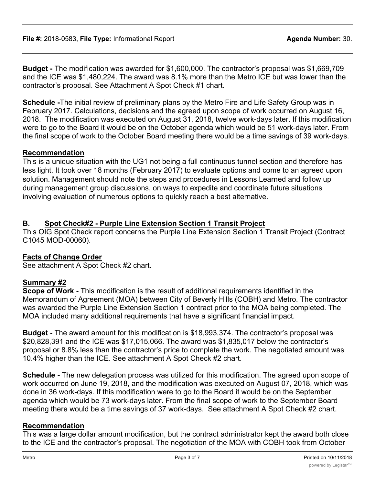**Budget -** The modification was awarded for \$1,600,000. The contractor's proposal was \$1,669,709 and the ICE was \$1,480,224. The award was 8.1% more than the Metro ICE but was lower than the contractor's proposal. See Attachment A Spot Check #1 chart.

**Schedule -**The initial review of preliminary plans by the Metro Fire and Life Safety Group was in February 2017. Calculations, decisions and the agreed upon scope of work occurred on August 16, 2018. The modification was executed on August 31, 2018, twelve work-days later. If this modification were to go to the Board it would be on the October agenda which would be 51 work-days later. From the final scope of work to the October Board meeting there would be a time savings of 39 work-days.

### **Recommendation**

This is a unique situation with the UG1 not being a full continuous tunnel section and therefore has less light. It took over 18 months (February 2017) to evaluate options and come to an agreed upon solution. Management should note the steps and procedures in Lessons Learned and follow up during management group discussions, on ways to expedite and coordinate future situations involving evaluation of numerous options to quickly reach a best alternative.

# **B. Spot Check#2 - Purple Line Extension Section 1 Transit Project**

This OIG Spot Check report concerns the Purple Line Extension Section 1 Transit Project (Contract C1045 MOD-00060).

## **Facts of Change Order**

See attachment A Spot Check #2 chart.

## **Summary #2**

**Scope of Work -** This modification is the result of additional requirements identified in the Memorandum of Agreement (MOA) between City of Beverly Hills (COBH) and Metro. The contractor was awarded the Purple Line Extension Section 1 contract prior to the MOA being completed. The MOA included many additional requirements that have a significant financial impact.

**Budget -** The award amount for this modification is \$18,993,374. The contractor's proposal was \$20,828,391 and the ICE was \$17,015,066. The award was \$1,835,017 below the contractor's proposal or 8.8% less than the contractor's price to complete the work. The negotiated amount was 10.4% higher than the ICE. See attachment A Spot Check #2 chart.

**Schedule -** The new delegation process was utilized for this modification. The agreed upon scope of work occurred on June 19, 2018, and the modification was executed on August 07, 2018, which was done in 36 work-days. If this modification were to go to the Board it would be on the September agenda which would be 73 work-days later. From the final scope of work to the September Board meeting there would be a time savings of 37 work-days. See attachment A Spot Check #2 chart.

## **Recommendation**

This was a large dollar amount modification, but the contract administrator kept the award both close to the ICE and the contractor's proposal. The negotiation of the MOA with COBH took from October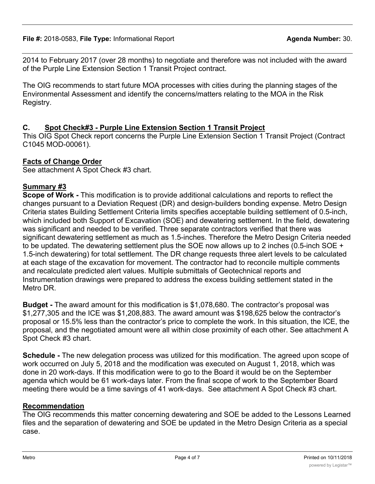2014 to February 2017 (over 28 months) to negotiate and therefore was not included with the award of the Purple Line Extension Section 1 Transit Project contract.

The OIG recommends to start future MOA processes with cities during the planning stages of the Environmental Assessment and identify the concerns/matters relating to the MOA in the Risk Registry.

# **C. Spot Check#3 - Purple Line Extension Section 1 Transit Project**

This OIG Spot Check report concerns the Purple Line Extension Section 1 Transit Project (Contract C1045 MOD-00061).

# **Facts of Change Order**

See attachment A Spot Check #3 chart.

# **Summary #3**

**Scope of Work -** This modification is to provide additional calculations and reports to reflect the changes pursuant to a Deviation Request (DR) and design-builders bonding expense. Metro Design Criteria states Building Settlement Criteria limits specifies acceptable building settlement of 0.5-inch, which included both Support of Excavation (SOE) and dewatering settlement. In the field, dewatering was significant and needed to be verified. Three separate contractors verified that there was significant dewatering settlement as much as 1.5-inches. Therefore the Metro Design Criteria needed to be updated. The dewatering settlement plus the SOE now allows up to 2 inches (0.5-inch SOE + 1.5-inch dewatering) for total settlement. The DR change requests three alert levels to be calculated at each stage of the excavation for movement. The contractor had to reconcile multiple comments and recalculate predicted alert values. Multiple submittals of Geotechnical reports and Instrumentation drawings were prepared to address the excess building settlement stated in the Metro DR.

**Budget -** The award amount for this modification is \$1,078,680. The contractor's proposal was \$1,277,305 and the ICE was \$1,208,883. The award amount was \$198,625 below the contractor's proposal or 15.5% less than the contractor's price to complete the work. In this situation, the ICE, the proposal, and the negotiated amount were all within close proximity of each other. See attachment A Spot Check #3 chart.

**Schedule -** The new delegation process was utilized for this modification. The agreed upon scope of work occurred on July 5, 2018 and the modification was executed on August 1, 2018, which was done in 20 work-days. If this modification were to go to the Board it would be on the September agenda which would be 61 work-days later. From the final scope of work to the September Board meeting there would be a time savings of 41 work-days. See attachment A Spot Check #3 chart.

## **Recommendation**

The OIG recommends this matter concerning dewatering and SOE be added to the Lessons Learned files and the separation of dewatering and SOE be updated in the Metro Design Criteria as a special case.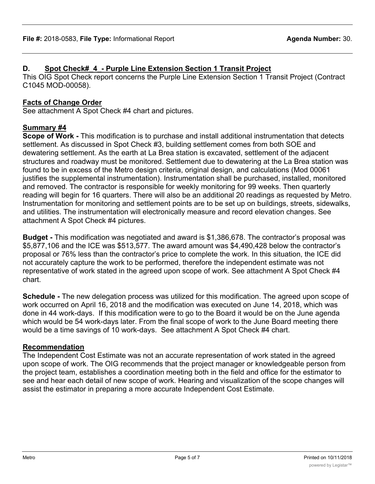# **D. Spot Check#\_4\_- Purple Line Extension Section 1 Transit Project**

This OIG Spot Check report concerns the Purple Line Extension Section 1 Transit Project (Contract C1045 MOD-00058).

# **Facts of Change Order**

See attachment A Spot Check #4 chart and pictures.

# **Summary #4**

**Scope of Work -** This modification is to purchase and install additional instrumentation that detects settlement. As discussed in Spot Check #3, building settlement comes from both SOE and dewatering settlement. As the earth at La Brea station is excavated, settlement of the adjacent structures and roadway must be monitored. Settlement due to dewatering at the La Brea station was found to be in excess of the Metro design criteria, original design, and calculations (Mod 00061 justifies the supplemental instrumentation). Instrumentation shall be purchased, installed, monitored and removed. The contractor is responsible for weekly monitoring for 99 weeks. Then quarterly reading will begin for 16 quarters. There will also be an additional 20 readings as requested by Metro. Instrumentation for monitoring and settlement points are to be set up on buildings, streets, sidewalks, and utilities. The instrumentation will electronically measure and record elevation changes. See attachment A Spot Check #4 pictures.

**Budget -** This modification was negotiated and award is \$1,386,678. The contractor's proposal was \$5,877,106 and the ICE was \$513,577. The award amount was \$4,490,428 below the contractor's proposal or 76% less than the contractor's price to complete the work. In this situation, the ICE did not accurately capture the work to be performed, therefore the independent estimate was not representative of work stated in the agreed upon scope of work. See attachment A Spot Check #4 chart.

**Schedule -** The new delegation process was utilized for this modification. The agreed upon scope of work occurred on April 16, 2018 and the modification was executed on June 14, 2018, which was done in 44 work-days. If this modification were to go to the Board it would be on the June agenda which would be 54 work-days later. From the final scope of work to the June Board meeting there would be a time savings of 10 work-days. See attachment A Spot Check #4 chart.

### **Recommendation**

The Independent Cost Estimate was not an accurate representation of work stated in the agreed upon scope of work. The OIG recommends that the project manager or knowledgeable person from the project team, establishes a coordination meeting both in the field and office for the estimator to see and hear each detail of new scope of work. Hearing and visualization of the scope changes will assist the estimator in preparing a more accurate Independent Cost Estimate.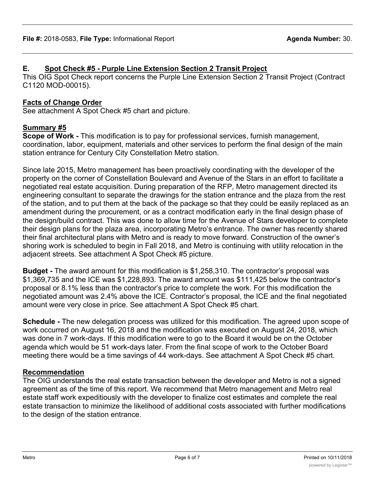# **E. Spot Check #5 - Purple Line Extension Section 2 Transit Project**

This OIG Spot Check report concerns the Purple Line Extension Section 2 Transit Project (Contract C1120 MOD-00015).

# **Facts of Change Order**

See attachment A Spot Check #5 chart and picture.

# **Summary #5**

**Scope of Work -** This modification is to pay for professional services, furnish management, coordination, labor, equipment, materials and other services to perform the final design of the main station entrance for Century City Constellation Metro station.

Since late 2015, Metro management has been proactively coordinating with the developer of the property on the corner of Constellation Boulevard and Avenue of the Stars in an effort to facilitate a negotiated real estate acquisition. During preparation of the RFP, Metro management directed its engineering consultant to separate the drawings for the station entrance and the plaza from the rest of the station, and to put them at the back of the package so that they could be easily replaced as an amendment during the procurement, or as a contract modification early in the final design phase of the design/build contract. This was done to allow time for the Avenue of Stars developer to complete their design plans for the plaza area, incorporating Metro's entrance. The owner has recently shared their final architectural plans with Metro and is ready to move forward. Construction of the owner's shoring work is scheduled to begin in Fall 2018, and Metro is continuing with utility relocation in the adjacent streets. See attachment A Spot Check #5 picture.

**Budget -** The award amount for this modification is \$1,258,310. The contractor's proposal was \$1,369,735 and the ICE was \$1,228,893. The award amount was \$111,425 below the contractor's proposal or 8.1% less than the contractor's price to complete the work. For this modification the negotiated amount was 2.4% above the ICE. Contractor's proposal, the ICE and the final negotiated amount were very close in price. See attachment A Spot Check #5 chart.

**Schedule -** The new delegation process was utilized for this modification. The agreed upon scope of work occurred on August 16, 2018 and the modification was executed on August 24, 2018, which was done in 7 work-days. If this modification were to go to the Board it would be on the October agenda which would be 51 work-days later. From the final scope of work to the October Board meeting there would be a time savings of 44 work-days. See attachment A Spot Check #5 chart.

# **Recommendation**

The OIG understands the real estate transaction between the developer and Metro is not a signed agreement as of the time of this report. We recommend that Metro management and Metro real estate staff work expeditiously with the developer to finalize cost estimates and complete the real estate transaction to minimize the likelihood of additional costs associated with further modifications to the design of the station entrance.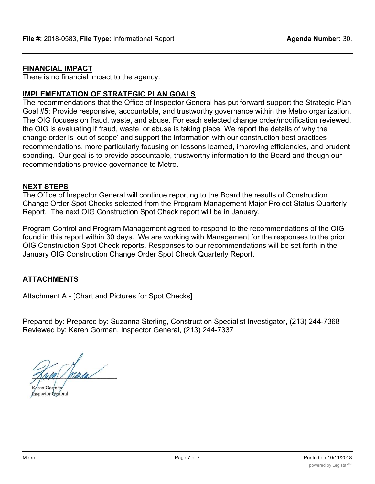### **FINANCIAL IMPACT**

There is no financial impact to the agency.

### **IMPLEMENTATION OF STRATEGIC PLAN GOALS**

The recommendations that the Office of Inspector General has put forward support the Strategic Plan Goal #5: Provide responsive, accountable, and trustworthy governance within the Metro organization. The OIG focuses on fraud, waste, and abuse. For each selected change order/modification reviewed, the OIG is evaluating if fraud, waste, or abuse is taking place. We report the details of why the change order is 'out of scope' and support the information with our construction best practices recommendations, more particularly focusing on lessons learned, improving efficiencies, and prudent spending. Our goal is to provide accountable, trustworthy information to the Board and though our recommendations provide governance to Metro.

### **NEXT STEPS**

The Office of Inspector General will continue reporting to the Board the results of Construction Change Order Spot Checks selected from the Program Management Major Project Status Quarterly Report. The next OIG Construction Spot Check report will be in January.

Program Control and Program Management agreed to respond to the recommendations of the OIG found in this report within 30 days. We are working with Management for the responses to the prior OIG Construction Spot Check reports. Responses to our recommendations will be set forth in the January OIG Construction Change Order Spot Check Quarterly Report.

### **ATTACHMENTS**

Attachment A - [Chart and Pictures for Spot Checks]

Prepared by: Prepared by: Suzanna Sterling, Construction Specialist Investigator, (213) 244-7368 Reviewed by: Karen Gorman, Inspector General, (213) 244-7337

Aren Gorman Inspector General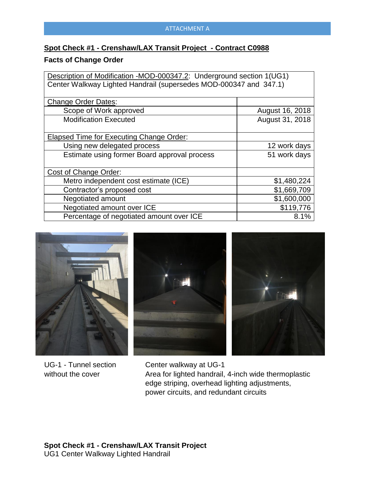## **Spot Check #1 - Crenshaw/LAX Transit Project - Contract C0988**

## **Facts of Change Order**

| Description of Modification -MOD-000347.2: Underground section 1(UG1) |                 |  |
|-----------------------------------------------------------------------|-----------------|--|
| Center Walkway Lighted Handrail (supersedes MOD-000347 and 347.1)     |                 |  |
|                                                                       |                 |  |
| <b>Change Order Dates:</b>                                            |                 |  |
| Scope of Work approved                                                | August 16, 2018 |  |
| <b>Modification Executed</b>                                          | August 31, 2018 |  |
|                                                                       |                 |  |
| Elapsed Time for Executing Change Order:                              |                 |  |
| Using new delegated process                                           | 12 work days    |  |
| Estimate using former Board approval process                          | 51 work days    |  |
|                                                                       |                 |  |
| Cost of Change Order:                                                 |                 |  |
| Metro independent cost estimate (ICE)                                 | \$1,480,224     |  |
| Contractor's proposed cost                                            | \$1,669,709     |  |
| Negotiated amount                                                     | \$1,600,000     |  |
| Negotiated amount over ICE                                            | \$119,776       |  |
| Percentage of negotiated amount over ICE                              | 8.1%            |  |







UG-1 - Tunnel section without the cover

 Center walkway at UG-1 Area for lighted handrail, 4-inch wide thermoplastic edge striping, overhead lighting adjustments, power circuits, and redundant circuits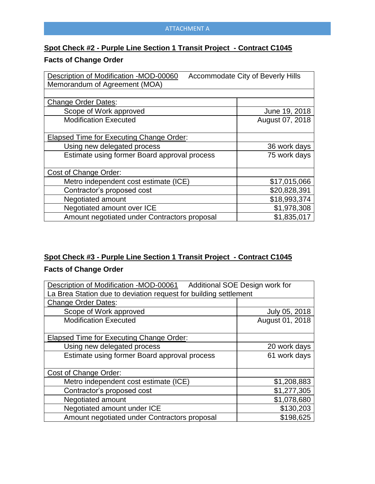### ATTACHMENT A

# **Spot Check #2 - Purple Line Section 1 Transit Project - Contract C1045**

# **Facts of Change Order**

| <b>Accommodate City of Beverly Hills</b><br>Description of Modification -MOD-00060 |                 |
|------------------------------------------------------------------------------------|-----------------|
| Memorandum of Agreement (MOA)                                                      |                 |
|                                                                                    |                 |
| <b>Change Order Dates:</b>                                                         |                 |
| Scope of Work approved                                                             | June 19, 2018   |
| <b>Modification Executed</b>                                                       | August 07, 2018 |
|                                                                                    |                 |
| Elapsed Time for Executing Change Order:                                           |                 |
| Using new delegated process                                                        | 36 work days    |
| Estimate using former Board approval process                                       | 75 work days    |
|                                                                                    |                 |
| Cost of Change Order:                                                              |                 |
| Metro independent cost estimate (ICE)                                              | \$17,015,066    |
| Contractor's proposed cost                                                         | \$20,828,391    |
| Negotiated amount                                                                  | \$18,993,374    |
| Negotiated amount over ICE                                                         | \$1,978,308     |
| Amount negotiated under Contractors proposal                                       | \$1,835,017     |

# **Spot Check #3 - Purple Line Section 1 Transit Project - Contract C1045**

# **Facts of Change Order**

| Additional SOE Design work for<br>Description of Modification -MOD-00061 |                 |  |
|--------------------------------------------------------------------------|-----------------|--|
| La Brea Station due to deviation request for building settlement         |                 |  |
| <b>Change Order Dates:</b>                                               |                 |  |
| Scope of Work approved                                                   | July 05, 2018   |  |
| <b>Modification Executed</b>                                             | August 01, 2018 |  |
|                                                                          |                 |  |
| Elapsed Time for Executing Change Order:                                 |                 |  |
| Using new delegated process                                              | 20 work days    |  |
| Estimate using former Board approval process                             | 61 work days    |  |
|                                                                          |                 |  |
| Cost of Change Order:                                                    |                 |  |
| Metro independent cost estimate (ICE)                                    | \$1,208,883     |  |
| Contractor's proposed cost                                               | \$1,277,305     |  |
| Negotiated amount                                                        | \$1,078,680     |  |
| Negotiated amount under ICE                                              | \$130,203       |  |
| Amount negotiated under Contractors proposal                             | \$198,625       |  |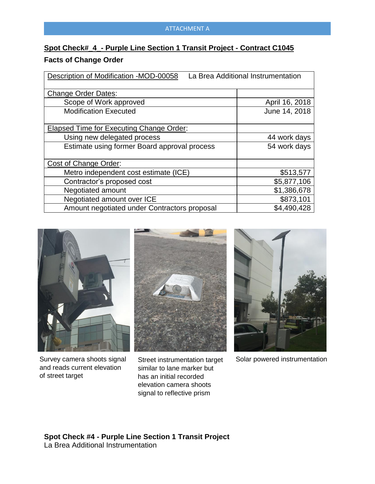#### ATTACHMENT A

# **Spot Check#\_4\_- Purple Line Section 1 Transit Project - Contract C1045**

### **Facts of Change Order**

| Description of Modification -MOD-00058<br>La Brea Additional Instrumentation |                |
|------------------------------------------------------------------------------|----------------|
| <b>Change Order Dates:</b>                                                   |                |
| Scope of Work approved                                                       | April 16, 2018 |
| <b>Modification Executed</b>                                                 | June 14, 2018  |
| Elapsed Time for Executing Change Order:                                     |                |
| Using new delegated process                                                  | 44 work days   |
| Estimate using former Board approval process                                 | 54 work days   |
| Cost of Change Order:                                                        |                |
| Metro independent cost estimate (ICE)                                        | \$513,577      |
| Contractor's proposed cost                                                   | \$5,877,106    |
| Negotiated amount                                                            | \$1,386,678    |
| Negotiated amount over ICE                                                   | \$873,101      |
| Amount negotiated under Contractors proposal                                 | \$4,490,428    |



Survey camera shoots signal and reads current elevation of street target



Street instrumentation target similar to lane marker but has an initial recorded elevation camera shoots signal to reflective prism



Solar powered instrumentation

**Spot Check #4 - Purple Line Section 1 Transit Project**  La Brea Additional Instrumentation